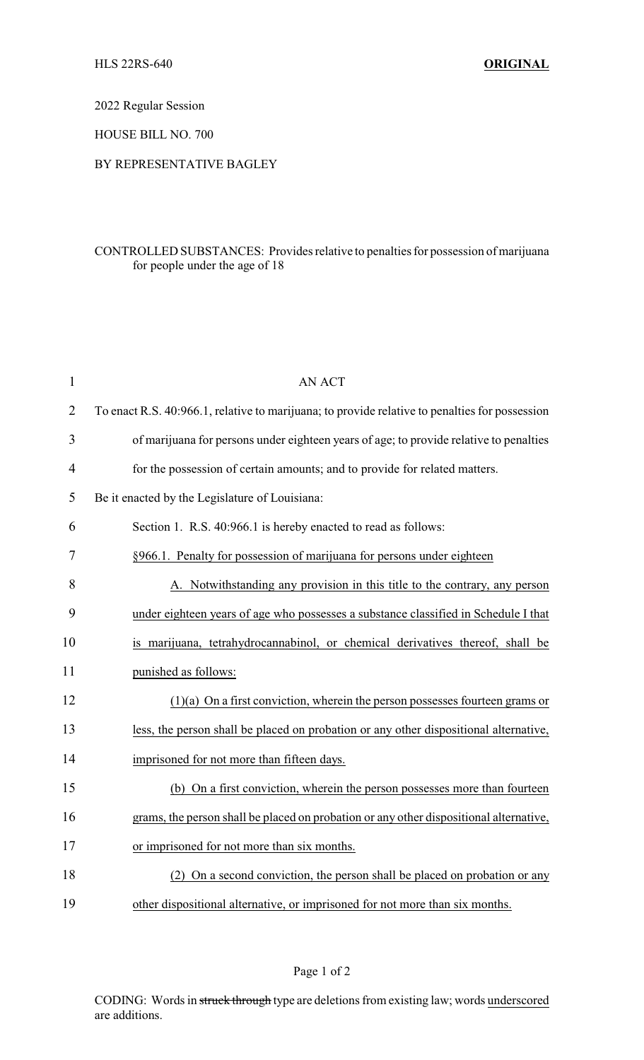2022 Regular Session

HOUSE BILL NO. 700

## BY REPRESENTATIVE BAGLEY

## CONTROLLED SUBSTANCES: Provides relative to penalties for possession of marijuana for people under the age of 18

| $\mathbf{1}$   | <b>AN ACT</b>                                                                                  |
|----------------|------------------------------------------------------------------------------------------------|
| $\overline{2}$ | To enact R.S. 40:966.1, relative to marijuana; to provide relative to penalties for possession |
| 3              | of marijuana for persons under eighteen years of age; to provide relative to penalties         |
| 4              | for the possession of certain amounts; and to provide for related matters.                     |
| 5              | Be it enacted by the Legislature of Louisiana:                                                 |
| 6              | Section 1. R.S. 40:966.1 is hereby enacted to read as follows:                                 |
| 7              | §966.1. Penalty for possession of marijuana for persons under eighteen                         |
| 8              | A. Notwithstanding any provision in this title to the contrary, any person                     |
| 9              | under eighteen years of age who possesses a substance classified in Schedule I that            |
| 10             | is marijuana, tetrahydrocannabinol, or chemical derivatives thereof, shall be                  |
| 11             | punished as follows:                                                                           |
| 12             | $(1)(a)$ On a first conviction, wherein the person possesses fourteen grams or                 |
| 13             | less, the person shall be placed on probation or any other dispositional alternative,          |
| 14             | imprisoned for not more than fifteen days.                                                     |
| 15             | (b) On a first conviction, wherein the person possesses more than fourteen                     |
| 16             | grams, the person shall be placed on probation or any other dispositional alternative,         |
| 17             | or imprisoned for not more than six months.                                                    |
| 18             | (2) On a second conviction, the person shall be placed on probation or any                     |
| 19             | other dispositional alternative, or imprisoned for not more than six months.                   |